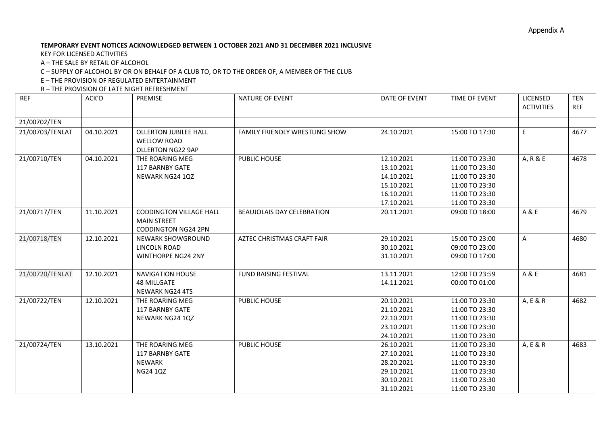## **TEMPORARY EVENT NOTICES ACKNOWLEDGED BETWEEN 1 OCTOBER 2021 AND 31 DECEMBER 2021 INCLUSIVE**

KEY FOR LICENSED ACTIVITIES

A – THE SALE BY RETAIL OF ALCOHOL

C – SUPPLY OF ALCOHOL BY OR ON BEHALF OF A CLUB TO, OR TO THE ORDER OF, A MEMBER OF THE CLUB

E – THE PROVISION OF REGULATED ENTERTAINMENT

R – THE PROVISION OF LATE NIGHT REFRESHMENT

| <b>REF</b>      | ACK'D      | PREMISE                                                                            | <b>NATURE OF EVENT</b>            | DATE OF EVENT                                                                    | TIME OF EVENT                                                                                            | LICENSED<br><b>ACTIVITIES</b> | <b>TEN</b><br><b>REF</b> |
|-----------------|------------|------------------------------------------------------------------------------------|-----------------------------------|----------------------------------------------------------------------------------|----------------------------------------------------------------------------------------------------------|-------------------------------|--------------------------|
| 21/00702/TEN    |            |                                                                                    |                                   |                                                                                  |                                                                                                          |                               |                          |
| 21/00703/TENLAT | 04.10.2021 | <b>OLLERTON JUBILEE HALL</b><br><b>WELLOW ROAD</b><br><b>OLLERTON NG22 9AP</b>     | FAMILY FRIENDLY WRESTLING SHOW    | 24.10.2021                                                                       | 15:00 TO 17:30                                                                                           | E                             | 4677                     |
| 21/00710/TEN    | 04.10.2021 | THE ROARING MEG<br>117 BARNBY GATE<br>NEWARK NG24 1QZ                              | PUBLIC HOUSE                      | 12.10.2021<br>13.10.2021<br>14.10.2021<br>15.10.2021<br>16.10.2021<br>17.10.2021 | 11:00 TO 23:30<br>11:00 TO 23:30<br>11:00 TO 23:30<br>11:00 TO 23:30<br>11:00 TO 23:30<br>11:00 TO 23:30 | A, R & E                      | 4678                     |
| 21/00717/TEN    | 11.10.2021 | <b>CODDINGTON VILLAGE HALL</b><br><b>MAIN STREET</b><br><b>CODDINGTON NG24 2PN</b> | <b>BEAUJOLAIS DAY CELEBRATION</b> | 20.11.2021                                                                       | 09:00 TO 18:00                                                                                           | A & E                         | 4679                     |
| 21/00718/TEN    | 12.10.2021 | NEWARK SHOWGROUND<br>LINCOLN ROAD<br><b>WINTHORPE NG24 2NY</b>                     | AZTEC CHRISTMAS CRAFT FAIR        | 29.10.2021<br>30.10.2021<br>31.10.2021                                           | 15:00 TO 23:00<br>09:00 TO 23:00<br>09:00 TO 17:00                                                       | A                             | 4680                     |
| 21/00720/TENLAT | 12.10.2021 | <b>NAVIGATION HOUSE</b><br><b>48 MILLGATE</b><br><b>NEWARK NG24 4TS</b>            | FUND RAISING FESTIVAL             | 13.11.2021<br>14.11.2021                                                         | 12:00 TO 23:59<br>00:00 TO 01:00                                                                         | A & E                         | 4681                     |
| 21/00722/TEN    | 12.10.2021 | THE ROARING MEG<br>117 BARNBY GATE<br>NEWARK NG24 1QZ                              | PUBLIC HOUSE                      | 20.10.2021<br>21.10.2021<br>22.10.2021<br>23.10.2021<br>24.10.2021               | 11:00 TO 23:30<br>11:00 TO 23:30<br>11:00 TO 23:30<br>11:00 TO 23:30<br>11:00 TO 23:30                   | A, E & R                      | 4682                     |
| 21/00724/TEN    | 13.10.2021 | THE ROARING MEG<br><b>117 BARNBY GATE</b><br>NEWARK<br>NG24 1QZ                    | PUBLIC HOUSE                      | 26.10.2021<br>27.10.2021<br>28.20.2021<br>29.10.2021<br>30.10.2021<br>31.10.2021 | 11:00 TO 23:30<br>11:00 TO 23:30<br>11:00 TO 23:30<br>11:00 TO 23:30<br>11:00 TO 23:30<br>11:00 TO 23:30 | A, E & R                      | 4683                     |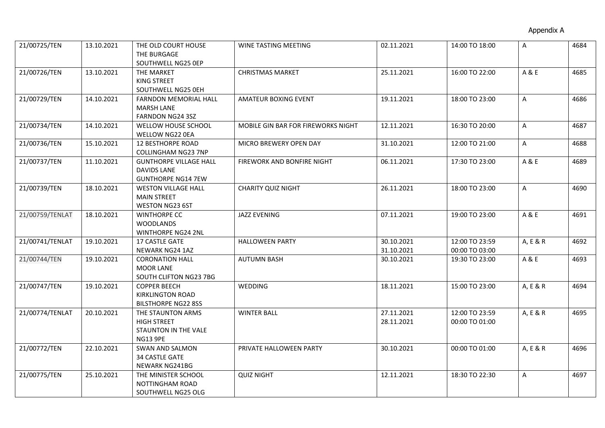| 21/00725/TEN    | 13.10.2021 | THE OLD COURT HOUSE           | WINE TASTING MEETING               | 02.11.2021 | 14:00 TO 18:00 | A            | 4684 |
|-----------------|------------|-------------------------------|------------------------------------|------------|----------------|--------------|------|
|                 |            | THE BURGAGE                   |                                    |            |                |              |      |
|                 |            | SOUTHWELL NG25 OEP            |                                    |            |                |              |      |
| 21/00726/TEN    | 13.10.2021 | THE MARKET                    | <b>CHRISTMAS MARKET</b>            | 25.11.2021 | 16:00 TO 22:00 | A & E        | 4685 |
|                 |            | KING STREET                   |                                    |            |                |              |      |
|                 |            | SOUTHWELL NG25 OEH            |                                    |            |                |              |      |
| 21/00729/TEN    | 14.10.2021 | <b>FARNDON MEMORIAL HALL</b>  | AMATEUR BOXING EVENT               | 19.11.2021 | 18:00 TO 23:00 | $\mathsf{A}$ | 4686 |
|                 |            | <b>MARSH LANE</b>             |                                    |            |                |              |      |
|                 |            | FARNDON NG24 3SZ              |                                    |            |                |              |      |
| 21/00734/TEN    | 14.10.2021 | WELLOW HOUSE SCHOOL           | MOBILE GIN BAR FOR FIREWORKS NIGHT | 12.11.2021 | 16:30 TO 20:00 | $\mathsf{A}$ | 4687 |
|                 |            | WELLOW NG22 0EA               |                                    |            |                |              |      |
| 21/00736/TEN    | 15.10.2021 | <b>12 BESTHORPE ROAD</b>      | MICRO BREWERY OPEN DAY             | 31.10.2021 | 12:00 TO 21:00 | $\mathsf{A}$ | 4688 |
|                 |            | <b>COLLINGHAM NG23 7NP</b>    |                                    |            |                |              |      |
| 21/00737/TEN    | 11.10.2021 | <b>GUNTHORPE VILLAGE HALL</b> | FIREWORK AND BONFIRE NIGHT         | 06.11.2021 | 17:30 TO 23:00 | A & E        | 4689 |
|                 |            | DAVIDS LANE                   |                                    |            |                |              |      |
|                 |            | <b>GUNTHORPE NG14 7EW</b>     |                                    |            |                |              |      |
| 21/00739/TEN    | 18.10.2021 | <b>WESTON VILLAGE HALL</b>    | <b>CHARITY QUIZ NIGHT</b>          | 26.11.2021 | 18:00 TO 23:00 | A            | 4690 |
|                 |            | <b>MAIN STREET</b>            |                                    |            |                |              |      |
|                 |            | <b>WESTON NG23 6ST</b>        |                                    |            |                |              |      |
| 21/00759/TENLAT | 18.10.2021 | <b>WINTHORPE CC</b>           | <b>JAZZ EVENING</b>                | 07.11.2021 | 19:00 TO 23:00 | A & E        | 4691 |
|                 |            | <b>WOODLANDS</b>              |                                    |            |                |              |      |
|                 |            | <b>WINTHORPE NG24 2NL</b>     |                                    |            |                |              |      |
| 21/00741/TENLAT | 19.10.2021 | <b>17 CASTLE GATE</b>         | <b>HALLOWEEN PARTY</b>             | 30.10.2021 | 12:00 TO 23:59 | A, E & R     | 4692 |
|                 |            | NEWARK NG24 1AZ               |                                    | 31.10.2021 | 00:00 TO 03:00 |              |      |
| 21/00744/TEN    | 19.10.2021 | <b>CORONATION HALL</b>        | <b>AUTUMN BASH</b>                 | 30.10.2021 | 19:30 TO 23:00 | A & E        | 4693 |
|                 |            | <b>MOOR LANE</b>              |                                    |            |                |              |      |
|                 |            | SOUTH CLIFTON NG23 7BG        |                                    |            |                |              |      |
| 21/00747/TEN    | 19.10.2021 | <b>COPPER BEECH</b>           | WEDDING                            | 18.11.2021 | 15:00 TO 23:00 | A, E & R     | 4694 |
|                 |            | KIRKLINGTON ROAD              |                                    |            |                |              |      |
|                 |            | <b>BILSTHORPE NG22 8SS</b>    |                                    |            |                |              |      |
| 21/00774/TENLAT | 20.10.2021 | THE STAUNTON ARMS             | <b>WINTER BALL</b>                 | 27.11.2021 | 12:00 TO 23:59 | A, E & R     | 4695 |
|                 |            | <b>HIGH STREET</b>            |                                    | 28.11.2021 | 00:00 TO 01:00 |              |      |
|                 |            | STAUNTON IN THE VALE          |                                    |            |                |              |      |
|                 |            | <b>NG13 9PE</b>               |                                    |            |                |              |      |
| 21/00772/TEN    | 22.10.2021 | <b>SWAN AND SALMON</b>        | PRIVATE HALLOWEEN PARTY            | 30.10.2021 | 00:00 TO 01:00 | A, E & R     | 4696 |
|                 |            | <b>34 CASTLE GATE</b>         |                                    |            |                |              |      |
|                 |            | NEWARK NG241BG                |                                    |            |                |              |      |
| 21/00775/TEN    | 25.10.2021 | THE MINISTER SCHOOL           | <b>QUIZ NIGHT</b>                  | 12.11.2021 | 18:30 TO 22:30 | A            | 4697 |
|                 |            | NOTTINGHAM ROAD               |                                    |            |                |              |      |
|                 |            | SOUTHWELL NG25 OLG            |                                    |            |                |              |      |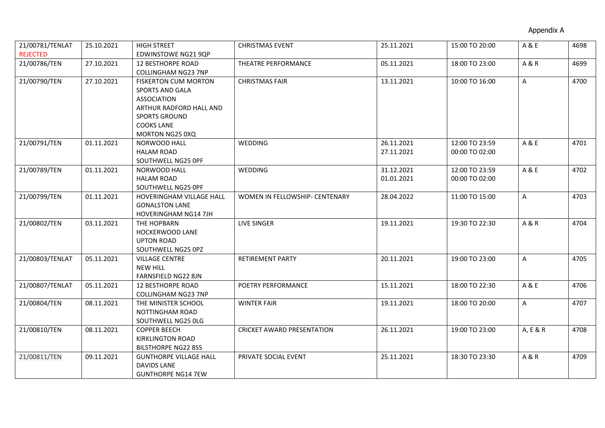| 21/00781/TENLAT | 25.10.2021 | <b>HIGH STREET</b>            | <b>CHRISTMAS EVENT</b>            | 25.11.2021 | 15:00 TO 20:00 | A & E          | 4698 |
|-----------------|------------|-------------------------------|-----------------------------------|------------|----------------|----------------|------|
| <b>REJECTED</b> |            | <b>EDWINSTOWE NG21 9QP</b>    |                                   |            |                |                |      |
| 21/00786/TEN    | 27.10.2021 | <b>12 BESTHORPE ROAD</b>      | THEATRE PERFORMANCE               | 05.11.2021 | 18:00 TO 23:00 | <b>A&amp;R</b> | 4699 |
|                 |            | COLLINGHAM NG23 7NP           |                                   |            |                |                |      |
| 21/00790/TEN    | 27.10.2021 | <b>FISKERTON CUM MORTON</b>   | <b>CHRISTMAS FAIR</b>             | 13.11.2021 | 10:00 TO 16:00 | A              | 4700 |
|                 |            | <b>SPORTS AND GALA</b>        |                                   |            |                |                |      |
|                 |            | <b>ASSOCIATION</b>            |                                   |            |                |                |      |
|                 |            | ARTHUR RADFORD HALL AND       |                                   |            |                |                |      |
|                 |            | <b>SPORTS GROUND</b>          |                                   |            |                |                |      |
|                 |            | <b>COOKS LANE</b>             |                                   |            |                |                |      |
|                 |            | MORTON NG25 0XQ               |                                   |            |                |                |      |
| 21/00791/TEN    | 01.11.2021 | NORWOOD HALL                  | <b>WEDDING</b>                    | 26.11.2021 | 12:00 TO 23:59 | A & E          | 4701 |
|                 |            | <b>HALAM ROAD</b>             |                                   | 27.11.2021 | 00:00 TO 02:00 |                |      |
|                 |            | SOUTHWELL NG25 OPF            |                                   |            |                |                |      |
| 21/00789/TEN    | 01.11.2021 | NORWOOD HALL                  | WEDDING                           | 31.12.2021 | 12:00 TO 23:59 | A & E          | 4702 |
|                 |            | <b>HALAM ROAD</b>             |                                   | 01.01.2021 | 00:00 TO 02:00 |                |      |
|                 |            | SOUTHWELL NG25 OPF            |                                   |            |                |                |      |
| 21/00799/TEN    | 01.11.2021 | HOVERINGHAM VILLAGE HALL      | WOMEN IN FELLOWSHIP- CENTENARY    | 28.04.2022 | 11:00 TO 15:00 | A              | 4703 |
|                 |            | <b>GONALSTON LANE</b>         |                                   |            |                |                |      |
|                 |            | HOVERINGHAM NG14 7JH          |                                   |            |                |                |      |
| 21/00802/TEN    | 03.11.2021 | THE HOPBARN                   | <b>LIVE SINGER</b>                | 19.11.2021 | 19:30 TO 22:30 | <b>A&amp;R</b> | 4704 |
|                 |            | <b>HOCKERWOOD LANE</b>        |                                   |            |                |                |      |
|                 |            | <b>UPTON ROAD</b>             |                                   |            |                |                |      |
|                 |            | SOUTHWELL NG25 0PZ            |                                   |            |                |                |      |
| 21/00803/TENLAT | 05.11.2021 | <b>VILLAGE CENTRE</b>         | <b>RETIREMENT PARTY</b>           | 20.11.2021 | 19:00 TO 23:00 | A              | 4705 |
|                 |            | <b>NEW HILL</b>               |                                   |            |                |                |      |
|                 |            | FARNSFIELD NG22 8JN           |                                   |            |                |                |      |
| 21/00807/TENLAT | 05.11.2021 | <b>12 BESTHORPE ROAD</b>      | POETRY PERFORMANCE                | 15.11.2021 | 18:00 TO 22:30 | A & E          | 4706 |
|                 |            | COLLINGHAM NG23 7NP           |                                   |            |                |                |      |
| 21/00804/TEN    | 08.11.2021 | THE MINISTER SCHOOL           | <b>WINTER FAIR</b>                | 19.11.2021 | 18:00 TO 20:00 | A              | 4707 |
|                 |            | NOTTINGHAM ROAD               |                                   |            |                |                |      |
|                 |            | SOUTHWELL NG25 OLG            |                                   |            |                |                |      |
| 21/00810/TEN    | 08.11.2021 | <b>COPPER BEECH</b>           | <b>CRICKET AWARD PRESENTATION</b> | 26.11.2021 | 19:00 TO 23:00 | A, E & R       | 4708 |
|                 |            | <b>KIRKLINGTON ROAD</b>       |                                   |            |                |                |      |
|                 |            | <b>BILSTHORPE NG22 8SS</b>    |                                   |            |                |                |      |
| 21/00811/TEN    | 09.11.2021 | <b>GUNTHORPE VILLAGE HALL</b> | PRIVATE SOCIAL EVENT              | 25.11.2021 | 18:30 TO 23:30 | <b>A&amp;R</b> | 4709 |
|                 |            | <b>DAVIDS LANE</b>            |                                   |            |                |                |      |
|                 |            | <b>GUNTHORPE NG14 7EW</b>     |                                   |            |                |                |      |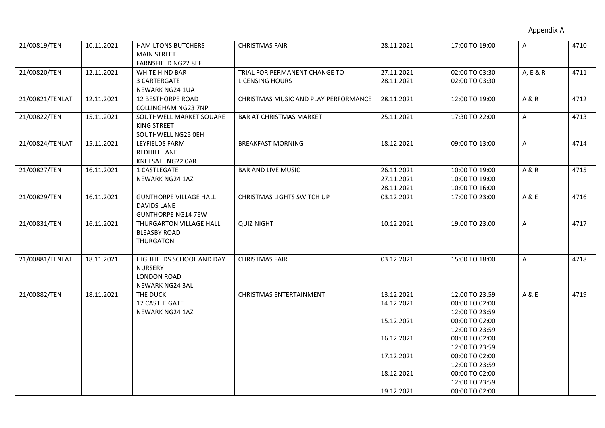| 21/00819/TEN    | 10.11.2021 | <b>HAMILTONS BUTCHERS</b>      | <b>CHRISTMAS FAIR</b>                | 28.11.2021 | 17:00 TO 19:00 | A              | 4710 |
|-----------------|------------|--------------------------------|--------------------------------------|------------|----------------|----------------|------|
|                 |            | <b>MAIN STREET</b>             |                                      |            |                |                |      |
|                 |            | FARNSFIELD NG22 8EF            |                                      |            |                |                |      |
| 21/00820/TEN    | 12.11.2021 | WHITE HIND BAR                 | TRIAL FOR PERMANENT CHANGE TO        | 27.11.2021 | 02:00 TO 03:30 | A, E & R       | 4711 |
|                 |            | 3 CARTERGATE                   | LICENSING HOURS                      | 28.11.2021 | 02:00 TO 03:30 |                |      |
|                 |            | NEWARK NG24 1UA                |                                      |            |                |                |      |
| 21/00821/TENLAT | 12.11.2021 | <b>12 BESTHORPE ROAD</b>       | CHRISTMAS MUSIC AND PLAY PERFORMANCE | 28.11.2021 | 12:00 TO 19:00 | <b>A&amp;R</b> | 4712 |
|                 |            | COLLINGHAM NG23 7NP            |                                      |            |                |                |      |
| 21/00822/TEN    | 15.11.2021 | SOUTHWELL MARKET SQUARE        | <b>BAR AT CHRISTMAS MARKET</b>       | 25.11.2021 | 17:30 TO 22:00 | A              | 4713 |
|                 |            | KING STREET                    |                                      |            |                |                |      |
| 21/00824/TENLAT | 15.11.2021 | SOUTHWELL NG25 OEH             | <b>BREAKFAST MORNING</b>             | 18.12.2021 | 09:00 TO 13:00 | $\mathsf{A}$   | 4714 |
|                 |            | LEYFIELDS FARM<br>REDHILL LANE |                                      |            |                |                |      |
|                 |            | KNEESALL NG22 0AR              |                                      |            |                |                |      |
| 21/00827/TEN    | 16.11.2021 | 1 CASTLEGATE                   | <b>BAR AND LIVE MUSIC</b>            | 26.11.2021 | 10:00 TO 19:00 | <b>A&amp;R</b> | 4715 |
|                 |            | NEWARK NG24 1AZ                |                                      | 27.11.2021 | 10:00 TO 19:00 |                |      |
|                 |            |                                |                                      | 28.11.2021 | 10:00 TO 16:00 |                |      |
| 21/00829/TEN    | 16.11.2021 | <b>GUNTHORPE VILLAGE HALL</b>  | CHRISTMAS LIGHTS SWITCH UP           | 03.12.2021 | 17:00 TO 23:00 | A & E          | 4716 |
|                 |            | <b>DAVIDS LANE</b>             |                                      |            |                |                |      |
|                 |            | <b>GUNTHORPE NG14 7EW</b>      |                                      |            |                |                |      |
| 21/00831/TEN    | 16.11.2021 | THURGARTON VILLAGE HALL        | <b>QUIZ NIGHT</b>                    | 10.12.2021 | 19:00 TO 23:00 | A              | 4717 |
|                 |            | <b>BLEASBY ROAD</b>            |                                      |            |                |                |      |
|                 |            | <b>THURGATON</b>               |                                      |            |                |                |      |
|                 |            |                                |                                      |            |                |                |      |
| 21/00881/TENLAT | 18.11.2021 | HIGHFIELDS SCHOOL AND DAY      | <b>CHRISTMAS FAIR</b>                | 03.12.2021 | 15:00 TO 18:00 | A              | 4718 |
|                 |            | <b>NURSERY</b>                 |                                      |            |                |                |      |
|                 |            | LONDON ROAD                    |                                      |            |                |                |      |
|                 |            | NEWARK NG24 3AL                |                                      |            |                |                |      |
| 21/00882/TEN    | 18.11.2021 | THE DUCK                       | <b>CHRISTMAS ENTERTAINMENT</b>       | 13.12.2021 | 12:00 TO 23:59 | A & E          | 4719 |
|                 |            | <b>17 CASTLE GATE</b>          |                                      | 14.12.2021 | 00:00 TO 02:00 |                |      |
|                 |            | NEWARK NG24 1AZ                |                                      |            | 12:00 TO 23:59 |                |      |
|                 |            |                                |                                      | 15.12.2021 | 00:00 TO 02:00 |                |      |
|                 |            |                                |                                      |            | 12:00 TO 23:59 |                |      |
|                 |            |                                |                                      | 16.12.2021 | 00:00 TO 02:00 |                |      |
|                 |            |                                |                                      |            | 12:00 TO 23:59 |                |      |
|                 |            |                                |                                      | 17.12.2021 | 00:00 TO 02:00 |                |      |
|                 |            |                                |                                      |            | 12:00 TO 23:59 |                |      |
|                 |            |                                |                                      | 18.12.2021 | 00:00 TO 02:00 |                |      |
|                 |            |                                |                                      |            | 12:00 TO 23:59 |                |      |
|                 |            |                                |                                      | 19.12.2021 | 00:00 TO 02:00 |                |      |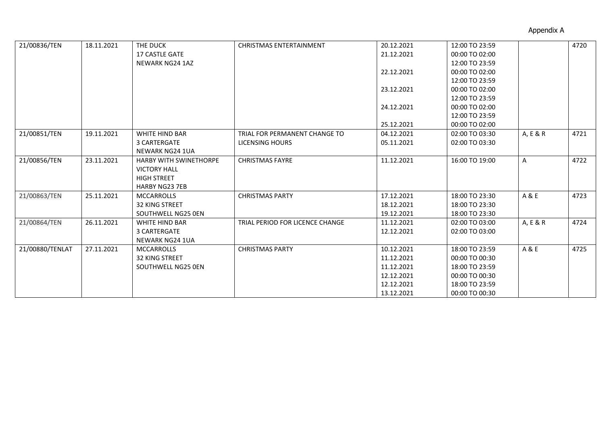| 21/00836/TEN    | 18.11.2021 | THE DUCK                      | <b>CHRISTMAS ENTERTAINMENT</b>  | 20.12.2021 | 12:00 TO 23:59 |          | 4720 |
|-----------------|------------|-------------------------------|---------------------------------|------------|----------------|----------|------|
|                 |            | <b>17 CASTLE GATE</b>         |                                 | 21.12.2021 | 00:00 TO 02:00 |          |      |
|                 |            | NEWARK NG24 1AZ               |                                 |            | 12:00 TO 23:59 |          |      |
|                 |            |                               |                                 | 22.12.2021 | 00:00 TO 02:00 |          |      |
|                 |            |                               |                                 |            | 12:00 TO 23:59 |          |      |
|                 |            |                               |                                 | 23.12.2021 | 00:00 TO 02:00 |          |      |
|                 |            |                               |                                 |            | 12:00 TO 23:59 |          |      |
|                 |            |                               |                                 | 24.12.2021 | 00:00 TO 02:00 |          |      |
|                 |            |                               |                                 |            | 12:00 TO 23:59 |          |      |
|                 |            |                               |                                 | 25.12.2021 | 00:00 TO 02:00 |          |      |
| 21/00851/TEN    | 19.11.2021 | WHITE HIND BAR                | TRIAL FOR PERMANENT CHANGE TO   | 04.12.2021 | 02:00 TO 03:30 | A, E & R | 4721 |
|                 |            | 3 CARTERGATE                  | LICENSING HOURS                 | 05.11.2021 | 02:00 TO 03:30 |          |      |
|                 |            | <b>NEWARK NG24 1UA</b>        |                                 |            |                |          |      |
| 21/00856/TEN    | 23.11.2021 | <b>HARBY WITH SWINETHORPE</b> | <b>CHRISTMAS FAYRE</b>          | 11.12.2021 | 16:00 TO 19:00 | A        | 4722 |
|                 |            | <b>VICTORY HALL</b>           |                                 |            |                |          |      |
|                 |            | <b>HIGH STREET</b>            |                                 |            |                |          |      |
|                 |            | <b>HARBY NG23 7EB</b>         |                                 |            |                |          |      |
| 21/00863/TEN    | 25.11.2021 | <b>MCCARROLLS</b>             | <b>CHRISTMAS PARTY</b>          | 17.12.2021 | 18:00 TO 23:30 | A & E    | 4723 |
|                 |            | <b>32 KING STREET</b>         |                                 | 18.12.2021 | 18:00 TO 23:30 |          |      |
|                 |            | SOUTHWELL NG25 0EN            |                                 | 19.12.2021 | 18:00 TO 23:30 |          |      |
| 21/00864/TEN    | 26.11.2021 | WHITE HIND BAR                | TRIAL PERIOD FOR LICENCE CHANGE | 11.12.2021 | 02:00 TO 03:00 | A, E & R | 4724 |
|                 |            | 3 CARTERGATE                  |                                 | 12.12.2021 | 02:00 TO 03:00 |          |      |
|                 |            | NEWARK NG24 1UA               |                                 |            |                |          |      |
| 21/00880/TENLAT | 27.11.2021 | <b>MCCARROLLS</b>             | <b>CHRISTMAS PARTY</b>          | 10.12.2021 | 18:00 TO 23:59 | A & E    | 4725 |
|                 |            | <b>32 KING STREET</b>         |                                 | 11.12.2021 | 00:00 TO 00:30 |          |      |
|                 |            | SOUTHWELL NG25 0EN            |                                 | 11.12.2021 | 18:00 TO 23:59 |          |      |
|                 |            |                               |                                 | 12.12.2021 | 00:00 TO 00:30 |          |      |
|                 |            |                               |                                 | 12.12.2021 | 18:00 TO 23:59 |          |      |
|                 |            |                               |                                 | 13.12.2021 | 00:00 TO 00:30 |          |      |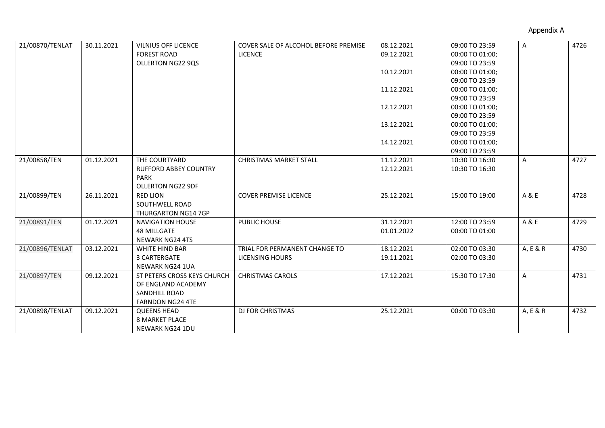| 21/00870/TENLAT | 30.11.2021 | <b>VILNIUS OFF LICENCE</b>   | <b>COVER SALE OF ALCOHOL BEFORE PREMISE</b> | 08.12.2021 | 09:00 TO 23:59  | A            | 4726 |
|-----------------|------------|------------------------------|---------------------------------------------|------------|-----------------|--------------|------|
|                 |            | <b>FOREST ROAD</b>           | <b>LICENCE</b>                              | 09.12.2021 | 00:00 TO 01:00; |              |      |
|                 |            | OLLERTON NG22 9QS            |                                             |            | 09:00 TO 23:59  |              |      |
|                 |            |                              |                                             | 10.12.2021 | 00:00 TO 01:00; |              |      |
|                 |            |                              |                                             |            | 09:00 TO 23:59  |              |      |
|                 |            |                              |                                             | 11.12.2021 | 00:00 TO 01:00; |              |      |
|                 |            |                              |                                             |            | 09:00 TO 23:59  |              |      |
|                 |            |                              |                                             | 12.12.2021 | 00:00 TO 01:00; |              |      |
|                 |            |                              |                                             |            | 09:00 TO 23:59  |              |      |
|                 |            |                              |                                             | 13.12.2021 | 00:00 TO 01:00; |              |      |
|                 |            |                              |                                             |            | 09:00 TO 23:59  |              |      |
|                 |            |                              |                                             | 14.12.2021 | 00:00 TO 01:00; |              |      |
|                 |            |                              |                                             |            | 09:00 TO 23:59  |              |      |
| 21/00858/TEN    | 01.12.2021 | THE COURTYARD                | <b>CHRISTMAS MARKET STALL</b>               | 11.12.2021 | 10:30 TO 16:30  | A            | 4727 |
|                 |            | <b>RUFFORD ABBEY COUNTRY</b> |                                             | 12.12.2021 | 10:30 TO 16:30  |              |      |
|                 |            | <b>PARK</b>                  |                                             |            |                 |              |      |
|                 |            | <b>OLLERTON NG22 9DF</b>     |                                             |            |                 |              |      |
| 21/00899/TEN    | 26.11.2021 | <b>RED LION</b>              | <b>COVER PREMISE LICENCE</b>                | 25.12.2021 | 15:00 TO 19:00  | A & E        | 4728 |
|                 |            | SOUTHWELL ROAD               |                                             |            |                 |              |      |
|                 |            | <b>THURGARTON NG14 7GP</b>   |                                             |            |                 |              |      |
| 21/00891/TEN    | 01.12.2021 | <b>NAVIGATION HOUSE</b>      | PUBLIC HOUSE                                | 31.12.2021 | 12:00 TO 23:59  | A & E        | 4729 |
|                 |            | <b>48 MILLGATE</b>           |                                             | 01.01.2022 | 00:00 TO 01:00  |              |      |
|                 |            | <b>NEWARK NG24 4TS</b>       |                                             |            |                 |              |      |
| 21/00896/TENLAT | 03.12.2021 | <b>WHITE HIND BAR</b>        | TRIAL FOR PERMANENT CHANGE TO               | 18.12.2021 | 02:00 TO 03:30  | A, E & R     | 4730 |
|                 |            | 3 CARTERGATE                 | LICENSING HOURS                             | 19.11.2021 | 02:00 TO 03:30  |              |      |
|                 |            | NEWARK NG24 1UA              |                                             |            |                 |              |      |
| 21/00897/TEN    | 09.12.2021 | ST PETERS CROSS KEYS CHURCH  | <b>CHRISTMAS CAROLS</b>                     | 17.12.2021 | 15:30 TO 17:30  | $\mathsf{A}$ | 4731 |
|                 |            | OF ENGLAND ACADEMY           |                                             |            |                 |              |      |
|                 |            | SANDHILL ROAD                |                                             |            |                 |              |      |
|                 |            | <b>FARNDON NG24 4TE</b>      |                                             |            |                 |              |      |
| 21/00898/TENLAT | 09.12.2021 | <b>QUEENS HEAD</b>           | <b>DJ FOR CHRISTMAS</b>                     | 25.12.2021 | 00:00 TO 03:30  | A, E & R     | 4732 |
|                 |            | <b>8 MARKET PLACE</b>        |                                             |            |                 |              |      |
|                 |            | <b>NEWARK NG24 1DU</b>       |                                             |            |                 |              |      |